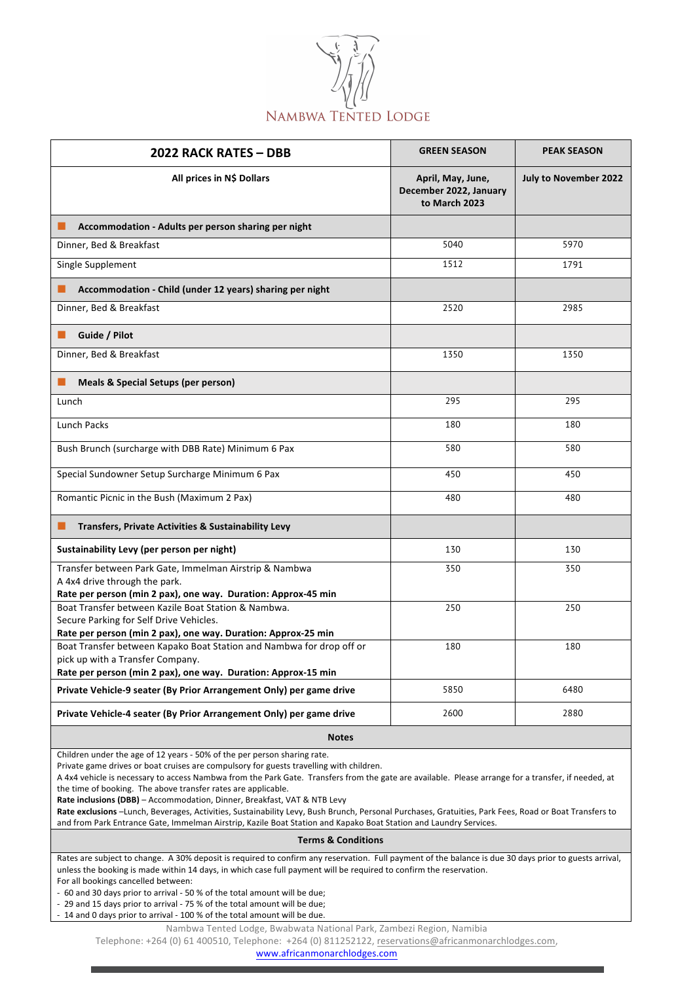

| <b>2022 RACK RATES - DBB</b>                                                                                                                                              | <b>GREEN SEASON</b>                                          | <b>PEAK SEASON</b>           |  |
|---------------------------------------------------------------------------------------------------------------------------------------------------------------------------|--------------------------------------------------------------|------------------------------|--|
| All prices in N\$ Dollars                                                                                                                                                 | April, May, June,<br>December 2022, January<br>to March 2023 | <b>July to November 2022</b> |  |
| Accommodation - Adults per person sharing per night<br>ш                                                                                                                  |                                                              |                              |  |
| Dinner, Bed & Breakfast                                                                                                                                                   | 5040                                                         | 5970                         |  |
| Single Supplement                                                                                                                                                         | 1512                                                         | 1791                         |  |
| Accommodation - Child (under 12 years) sharing per night                                                                                                                  |                                                              |                              |  |
| Dinner, Bed & Breakfast                                                                                                                                                   | 2520                                                         | 2985                         |  |
| Guide / Pilot                                                                                                                                                             |                                                              |                              |  |
| Dinner, Bed & Breakfast                                                                                                                                                   | 1350                                                         | 1350                         |  |
| <b>Meals &amp; Special Setups (per person)</b>                                                                                                                            |                                                              |                              |  |
| Lunch                                                                                                                                                                     | 295                                                          | 295                          |  |
| <b>Lunch Packs</b>                                                                                                                                                        | 180                                                          | 180                          |  |
| Bush Brunch (surcharge with DBB Rate) Minimum 6 Pax                                                                                                                       | 580                                                          | 580                          |  |
| Special Sundowner Setup Surcharge Minimum 6 Pax                                                                                                                           | 450                                                          | 450                          |  |
| Romantic Picnic in the Bush (Maximum 2 Pax)                                                                                                                               | 480                                                          | 480                          |  |
| Transfers, Private Activities & Sustainability Levy<br>ш                                                                                                                  |                                                              |                              |  |
| Sustainability Levy (per person per night)                                                                                                                                | 130                                                          | 130                          |  |
| Transfer between Park Gate, Immelman Airstrip & Nambwa<br>A 4x4 drive through the park.<br>Rate per person (min 2 pax), one way. Duration: Approx-45 min                  | 350                                                          | 350                          |  |
| Boat Transfer between Kazile Boat Station & Nambwa.<br>Secure Parking for Self Drive Vehicles.<br>Rate per person (min 2 pax), one way. Duration: Approx-25 min           | 250                                                          | 250                          |  |
| Boat Transfer between Kapako Boat Station and Nambwa for drop off or<br>pick up with a Transfer Company.<br>Rate per person (min 2 pax), one way. Duration: Approx-15 min | 180                                                          | 180                          |  |
| Private Vehicle-9 seater (By Prior Arrangement Only) per game drive                                                                                                       | 5850                                                         | 6480                         |  |
| Private Vehicle-4 seater (By Prior Arrangement Only) per game drive                                                                                                       | 2600                                                         | 2880                         |  |
| <b>Notes</b>                                                                                                                                                              |                                                              |                              |  |

Children under the age of 12 years - 50% of the per person sharing rate.

Private game drives or boat cruises are compulsory for guests travelling with children.

A 4x4 vehicle is necessary to access Nambwa from the Park Gate. Transfers from the gate are available. Please arrange for a transfer, if needed, at the time of booking. The above transfer rates are applicable.

**Rate inclusions (DBB)** – Accommodation, Dinner, Breakfast, VAT & NTB Levy

Rate exclusions -Lunch, Beverages, Activities, Sustainability Levy, Bush Brunch, Personal Purchases, Gratuities, Park Fees, Road or Boat Transfers to and from Park Entrance Gate, Immelman Airstrip, Kazile Boat Station and Kapako Boat Station and Laundry Services.

## **Terms & Conditions**

Rates are subject to change. A 30% deposit is required to confirm any reservation. Full payment of the balance is due 30 days prior to guests arrival, unless the booking is made within 14 days, in which case full payment will be required to confirm the reservation. For all bookings cancelled between:

- 60 and 30 days prior to arrival - 50 % of the total amount will be due;

- 29 and 15 days prior to arrival - 75 % of the total amount will be due;

- 14 and 0 days prior to arrival - 100 % of the total amount will be due.

Nambwa Tented Lodge, Bwabwata National Park, Zambezi Region, Namibia

Telephone: +264 (0) 61 400510, Telephone: +264 (0) 811252122, reservations@africanmonarchlodges.com,

www.africanmonarchlodges.com